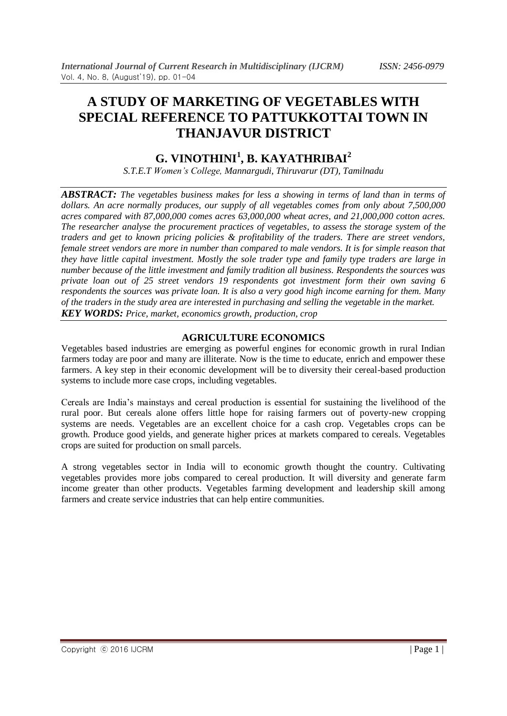# **A STUDY OF MARKETING OF VEGETABLES WITH SPECIAL REFERENCE TO PATTUKKOTTAI TOWN IN THANJAVUR DISTRICT**

# **G. VINOTHINI<sup>1</sup> , B. KAYATHRIBAI<sup>2</sup>**

*S.T.E.T Women's College, Mannargudi, Thiruvarur (DT), Tamilnadu*

*ABSTRACT: The vegetables business makes for less a showing in terms of land than in terms of dollars. An acre normally produces, our supply of all vegetables comes from only about 7,500,000 acres compared with 87,000,000 comes acres 63,000,000 wheat acres, and 21,000,000 cotton acres. The researcher analyse the procurement practices of vegetables, to assess the storage system of the traders and get to known pricing policies & profitability of the traders. There are street vendors, female street vendors are more in number than compared to male vendors. It is for simple reason that they have little capital investment. Mostly the sole trader type and family type traders are large in number because of the little investment and family tradition all business. Respondents the sources was private loan out of 25 street vendors 19 respondents got investment form their own saving 6 respondents the sources was private loan. It is also a very good high income earning for them. Many of the traders in the study area are interested in purchasing and selling the vegetable in the market. KEY WORDS: Price, market, economics growth, production, crop*

## **AGRICULTURE ECONOMICS**

Vegetables based industries are emerging as powerful engines for economic growth in rural Indian farmers today are poor and many are illiterate. Now is the time to educate, enrich and empower these farmers. A key step in their economic development will be to diversity their cereal-based production systems to include more case crops, including vegetables.

Cereals are India's mainstays and cereal production is essential for sustaining the livelihood of the rural poor. But cereals alone offers little hope for raising farmers out of poverty-new cropping systems are needs. Vegetables are an excellent choice for a cash crop. Vegetables crops can be growth. Produce good yields, and generate higher prices at markets compared to cereals. Vegetables crops are suited for production on small parcels.

A strong vegetables sector in India will to economic growth thought the country. Cultivating vegetables provides more jobs compared to cereal production. It will diversity and generate farm income greater than other products. Vegetables farming development and leadership skill among farmers and create service industries that can help entire communities.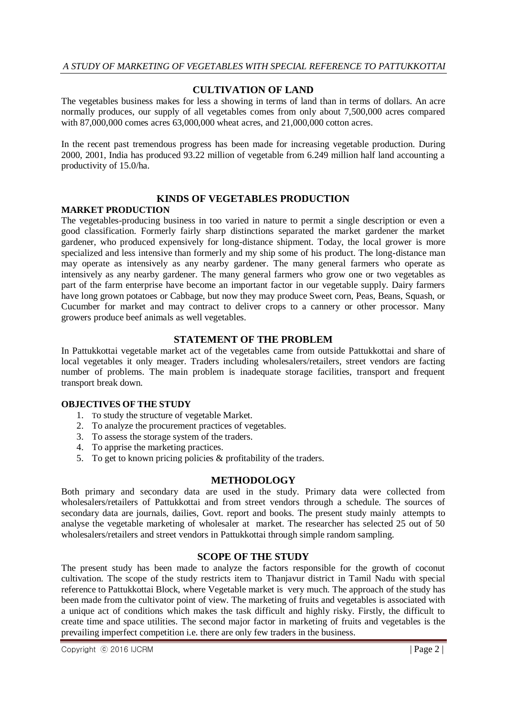### **CULTIVATION OF LAND**

The vegetables business makes for less a showing in terms of land than in terms of dollars. An acre normally produces, our supply of all vegetables comes from only about 7,500,000 acres compared with 87,000,000 comes acres 63,000,000 wheat acres, and 21,000,000 cotton acres.

In the recent past tremendous progress has been made for increasing vegetable production. During 2000, 2001, India has produced 93.22 million of vegetable from 6.249 million half land accounting a productivity of 15.0/ha.

#### **KINDS OF VEGETABLES PRODUCTION**

#### **MARKET PRODUCTION**

The vegetables-producing business in too varied in nature to permit a single description or even a good classification. Formerly fairly sharp distinctions separated the market gardener the market gardener, who produced expensively for long-distance shipment. Today, the local grower is more specialized and less intensive than formerly and my ship some of his product. The long-distance man may operate as intensively as any nearby gardener. The many general farmers who operate as intensively as any nearby gardener. The many general farmers who grow one or two vegetables as part of the farm enterprise have become an important factor in our vegetable supply. Dairy farmers have long grown potatoes or Cabbage, but now they may produce Sweet corn, Peas, Beans, Squash, or Cucumber for market and may contract to deliver crops to a cannery or other processor. Many growers produce beef animals as well vegetables.

#### **STATEMENT OF THE PROBLEM**

In Pattukkottai vegetable market act of the vegetables came from outside Pattukkottai and share of local vegetables it only meager. Traders including wholesalers/retailers, street vendors are facting number of problems. The main problem is inadequate storage facilities, transport and frequent transport break down.

#### **OBJECTIVES OF THE STUDY**

- 1. To study the structure of vegetable Market.
- 2. To analyze the procurement practices of vegetables.
- 3. To assess the storage system of the traders.
- 4. To apprise the marketing practices.
- 5. To get to known pricing policies & profitability of the traders.

#### **METHODOLOGY**

Both primary and secondary data are used in the study. Primary data were collected from wholesalers/retailers of Pattukkottai and from street vendors through a schedule. The sources of secondary data are journals, dailies, Govt. report and books. The present study mainly attempts to analyse the vegetable marketing of wholesaler at market. The researcher has selected 25 out of 50 wholesalers/retailers and street vendors in Pattukkottai through simple random sampling.

#### **SCOPE OF THE STUDY**

The present study has been made to analyze the factors responsible for the growth of coconut cultivation. The scope of the study restricts item to Thanjavur district in Tamil Nadu with special reference to Pattukkottai Block, where Vegetable market is very much. The approach of the study has been made from the cultivator point of view. The marketing of fruits and vegetables is associated with a unique act of conditions which makes the task difficult and highly risky. Firstly, the difficult to create time and space utilities. The second major factor in marketing of fruits and vegetables is the prevailing imperfect competition i.e. there are only few traders in the business.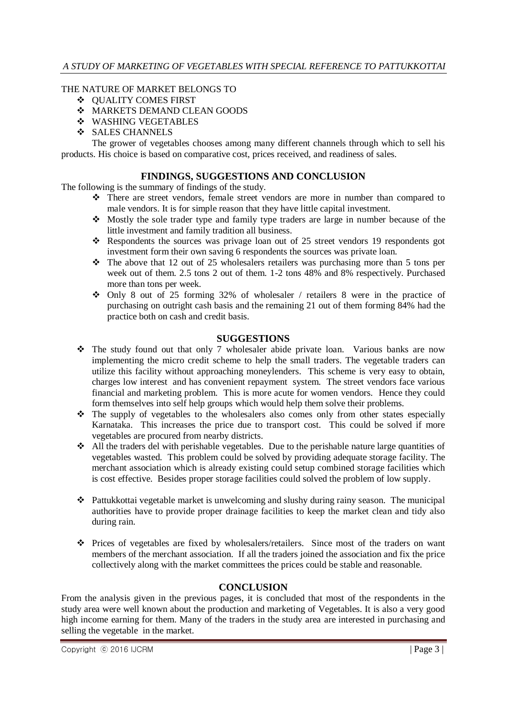#### THE NATURE OF MARKET BELONGS TO

- QUALITY COMES FIRST
- $\div$  MARKETS DEMAND CLEAN GOODS
- WASHING VEGETABLES
- ❖ SALES CHANNELS

The grower of vegetables chooses among many different channels through which to sell his products. His choice is based on comparative cost, prices received, and readiness of sales.

#### **FINDINGS, SUGGESTIONS AND CONCLUSION**

The following is the summary of findings of the study.

- There are street vendors, female street vendors are more in number than compared to male vendors. It is for simple reason that they have little capital investment.
- $\bullet$  Mostly the sole trader type and family type traders are large in number because of the little investment and family tradition all business.
- Respondents the sources was privage loan out of 25 street vendors 19 respondents got investment form their own saving 6 respondents the sources was private loan.
- $\cdot \cdot$  The above that 12 out of 25 wholesalers retailers was purchasing more than 5 tons per week out of them. 2.5 tons 2 out of them. 1-2 tons 48% and 8% respectively. Purchased more than tons per week.
- Only 8 out of 25 forming 32% of wholesaler / retailers 8 were in the practice of purchasing on outright cash basis and the remaining 21 out of them forming 84% had the practice both on cash and credit basis.

#### **SUGGESTIONS**

- The study found out that only 7 wholesaler abide private loan. Various banks are now implementing the micro credit scheme to help the small traders. The vegetable traders can utilize this facility without approaching moneylenders. This scheme is very easy to obtain, charges low interest and has convenient repayment system. The street vendors face various financial and marketing problem. This is more acute for women vendors. Hence they could form themselves into self help groups which would help them solve their problems.
- $\cdot \cdot$  The supply of vegetables to the wholesalers also comes only from other states especially Karnataka. This increases the price due to transport cost. This could be solved if more vegetables are procured from nearby districts.
- All the traders del with perishable vegetables. Due to the perishable nature large quantities of vegetables wasted. This problem could be solved by providing adequate storage facility. The merchant association which is already existing could setup combined storage facilities which is cost effective. Besides proper storage facilities could solved the problem of low supply.
- Pattukkottai vegetable market is unwelcoming and slushy during rainy season. The municipal authorities have to provide proper drainage facilities to keep the market clean and tidy also during rain.
- Prices of vegetables are fixed by wholesalers/retailers. Since most of the traders on want members of the merchant association. If all the traders joined the association and fix the price collectively along with the market committees the prices could be stable and reasonable.

## **CONCLUSION**

From the analysis given in the previous pages, it is concluded that most of the respondents in the study area were well known about the production and marketing of Vegetables. It is also a very good high income earning for them. Many of the traders in the study area are interested in purchasing and selling the vegetable in the market.